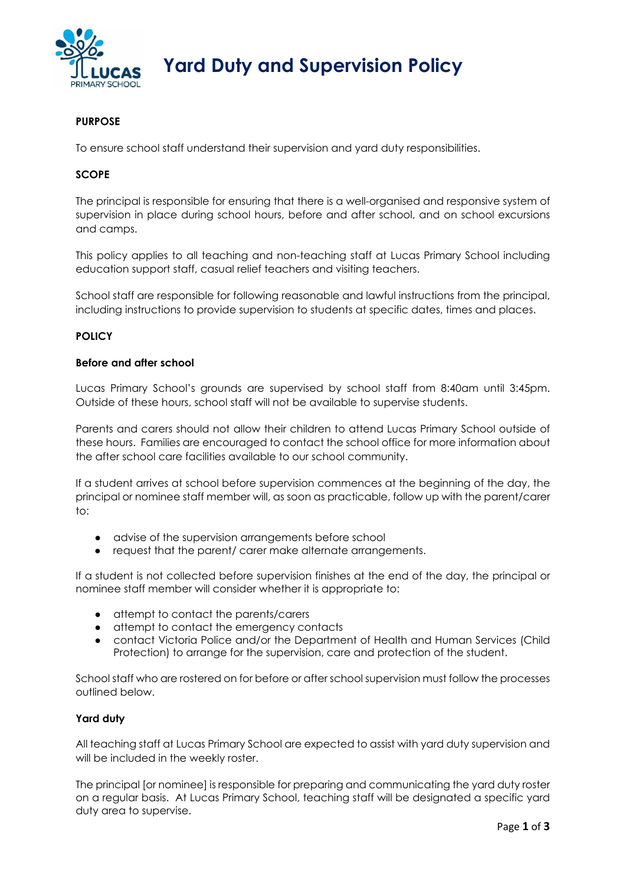

**Yard Duty and Supervision Policy** 

# **PURPOSE**

To ensure school staff understand their supervision and yard duty responsibilities.

## **SCOPE**

The principal is responsible for ensuring that there is a well-organised and responsive system of supervision in place during school hours, before and after school, and on school excursions and camps.

This policy applies to all teaching and non-teaching staff at Lucas Primary School including education support staff, casual relief teachers and visiting teachers.

School staff are responsible for following reasonable and lawful instructions from the principal, including instructions to provide supervision to students at specific dates, times and places.

#### **POLICY**

#### **Before and after school**

Lucas Primary School's grounds are supervised by school staff from 8:40am until 3:45pm. Outside of these hours, school staff will not be available to supervise students.

Parents and carers should not allow their children to attend Lucas Primary School outside of these hours. Families are encouraged to contact the school office for more information about the after school care facilities available to our school community.

If a student arrives at school before supervision commences at the beginning of the day, the principal or nominee staff member will, as soon as practicable, follow up with the parent/carer to:

- advise of the supervision arrangements before school
- request that the parent/ carer make alternate arrangements.

If a student is not collected before supervision finishes at the end of the day, the principal or nominee staff member will consider whether it is appropriate to:

- attempt to contact the parents/carers
- attempt to contact the emergency contacts
- contact Victoria Police and/or the Department of Health and Human Services (Child Protection) to arrange for the supervision, care and protection of the student.

School staff who are rostered on for before or after school supervision must follow the processes outlined below.

### **Yard duty**

All teaching staff at Lucas Primary School are expected to assist with yard duty supervision and will be included in the weekly roster.

The principal [or nominee] is responsible for preparing and communicating the yard duty roster on a regular basis. At Lucas Primary School, teaching staff will be designated a specific yard duty area to supervise.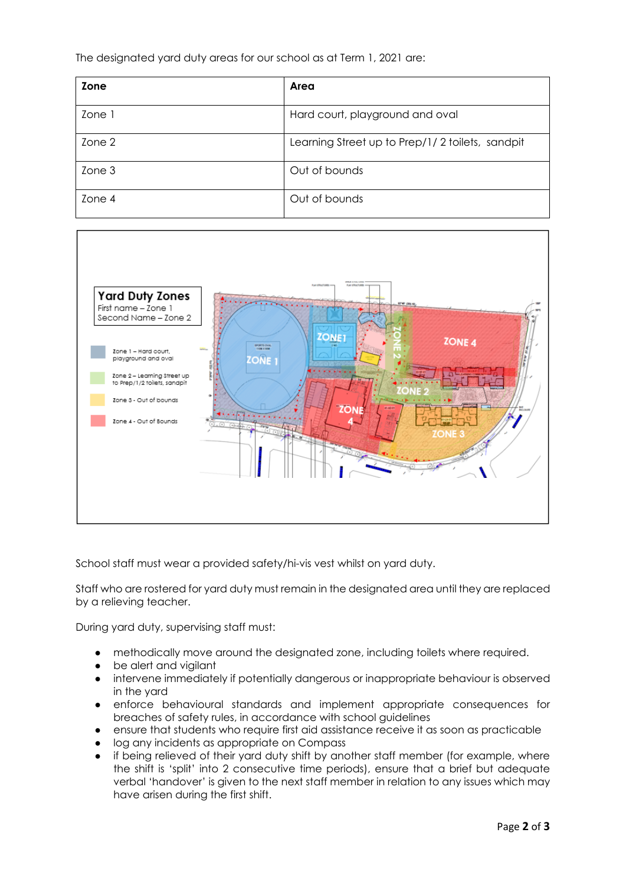The designated yard duty areas for our school as at Term 1, 2021 are:

| Zone   | Area                                            |
|--------|-------------------------------------------------|
| Zone 1 | Hard court, playground and oval                 |
| Zone 2 | Learning Street up to Prep/1/2 toilets, sandpit |
| Zone 3 | Out of bounds                                   |
| Zone 4 | Out of bounds                                   |



School staff must wear a provided safety/hi-vis vest whilst on yard duty.

Staff who are rostered for yard duty must remain in the designated area until they are replaced by a relieving teacher.

During yard duty, supervising staff must:

- methodically move around the designated zone, including toilets where required.
- be alert and vigilant
- intervene immediately if potentially dangerous or inappropriate behaviour is observed in the yard
- enforce behavioural standards and implement appropriate consequences for breaches of safety rules, in accordance with school guidelines
- ensure that students who require first aid assistance receive it as soon as practicable
- log any incidents as appropriate on Compass
- if being relieved of their yard duty shift by another staff member (for example, where the shift is 'split' into 2 consecutive time periods), ensure that a brief but adequate verbal 'handover' is given to the next staff member in relation to any issues which may have arisen during the first shift.